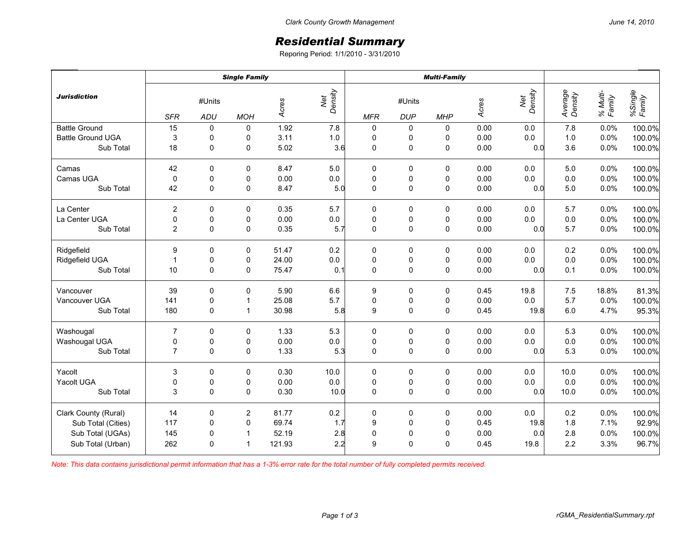## *Residential Summary*

Reporing Period: 1/1/2010 - 3/31/2010

|                          | <b>Single Family</b> |               |                |        |                | <b>Multi-Family</b> |                      |             |       |                |                    |                    |                   |
|--------------------------|----------------------|---------------|----------------|--------|----------------|---------------------|----------------------|-------------|-------|----------------|--------------------|--------------------|-------------------|
| <b>Jurisdiction</b>      | <b>SFR</b>           | #Units<br>ADU | <b>MOH</b>     | Acres  | Net<br>Density | <b>MFR</b>          | #Units<br><b>DUP</b> | <b>MHP</b>  | Acres | Density<br>Net | Average<br>Density | % Multi-<br>Family | %Single<br>Family |
| <b>Battle Ground</b>     | 15                   | 0             | 0              | 1.92   | 7.8            | $\pmb{0}$           | 0                    | 0           | 0.00  | 0.0            | 7.8                | 0.0%               | 100.0%            |
| <b>Battle Ground UGA</b> | 3                    | $\pmb{0}$     | 0              | 3.11   | $1.0\,$        | $\pmb{0}$           | 0                    | 0           | 0.00  | 0.0            | 1.0                | 0.0%               | 100.0%            |
| Sub Total                | 18                   | $\mathbf 0$   | 0              | 5.02   | 3.6            | $\mathbf 0$         | 0                    | 0           | 0.00  | 0.0            | 3.6                | 0.0%               | 100.0%            |
| Camas                    | 42                   | $\Omega$      | 0              | 8.47   | 5.0            | 0                   | 0                    | 0           | 0.00  | 0.0            | 5.0                | 0.0%               | 100.0%            |
| Camas UGA                | $\mathbf 0$          | $\mathbf 0$   | 0              | 0.00   | 0.0            | $\mathbf 0$         | $\pmb{0}$            | 0           | 0.00  | 0.0            | 0.0                | 0.0%               | 100.0%            |
| Sub Total                | 42                   | 0             | 0              | 8.47   | 5.0            | $\mathbf 0$         | $\mathsf 0$          | $\mathsf 0$ | 0.00  | 0.0            | 5.0                | 0.0%               | 100.0%            |
| La Center                | $\overline{2}$       | $\mathbf 0$   | $\mathbf 0$    | 0.35   | 5.7            | 0                   | 0                    | 0           | 0.00  | 0.0            | 5.7                | 0.0%               | 100.0%            |
| La Center UGA            | $\pmb{0}$            | 0             | 0              | 0.00   | $0.0\,$        | $\pmb{0}$           | 0                    | 0           | 0.00  | 0.0            | 0.0                | 0.0%               | 100.0%            |
| Sub Total                | $\overline{2}$       | $\Omega$      | 0              | 0.35   | 5.7            | $\mathbf 0$         | $\mathsf 0$          | $\pmb{0}$   | 0.00  | 0.0            | 5.7                | 0.0%               | 100.0%            |
| Ridgefield               | 9                    | 0             | 0              | 51.47  | 0.2            | $\pmb{0}$           | 0                    | 0           | 0.00  | 0.0            | 0.2                | 0.0%               | 100.0%            |
| Ridgefield UGA           | $\mathbf{1}$         | $\pmb{0}$     | 0              | 24.00  | $0.0\,$        | $\pmb{0}$           | $\pmb{0}$            | $\pmb{0}$   | 0.00  | 0.0            | 0.0                | 0.0%               | 100.0%            |
| Sub Total                | 10                   | $\mathbf 0$   | $\mathbf 0$    | 75.47  | 0.1            | $\mathbf 0$         | $\pmb{0}$            | $\pmb{0}$   | 0.00  | 0.0            | 0.1                | 0.0%               | 100.0%            |
| Vancouver                | 39                   | 0             | 0              | 5.90   | 6.6            | 9                   | 0                    | 0           | 0.45  | 19.8           | 7.5                | 18.8%              | 81.3%             |
| Vancouver UGA            | 141                  | $\pmb{0}$     | $\mathbf{1}$   | 25.08  | 5.7            | $\pmb{0}$           | $\pmb{0}$            | $\pmb{0}$   | 0.00  | $0.0\,$        | 5.7                | 0.0%               | 100.0%            |
| Sub Total                | 180                  | $\mathbf 0$   | $\mathbf{1}$   | 30.98  | 5.8            | 9                   | $\mathsf 0$          | $\mathsf 0$ | 0.45  | 19.8           | 6.0                | 4.7%               | 95.3%             |
| Washougal                | $\overline{7}$       | 0             | 0              | 1.33   | 5.3            | $\mathbf 0$         | 0                    | 0           | 0.00  | 0.0            | 5.3                | 0.0%               | 100.0%            |
| Washougal UGA            | 0                    | 0             | 0              | 0.00   | $0.0\,$        | $\pmb{0}$           | $\pmb{0}$            | $\pmb{0}$   | 0.00  | 0.0            | 0.0                | 0.0%               | 100.0%            |
| Sub Total                | $\overline{7}$       | $\mathbf 0$   | $\mathbf 0$    | 1.33   | 5.3            | $\mathbf 0$         | $\pmb{0}$            | $\pmb{0}$   | 0.00  | 0.0            | 5.3                | 0.0%               | 100.0%            |
| Yacolt                   | 3                    | 0             | 0              | 0.30   | 10.0           | $\pmb{0}$           | 0                    | 0           | 0.00  | 0.0            | 10.0               | 0.0%               | 100.0%            |
| Yacolt UGA               | $\pmb{0}$            | $\pmb{0}$     | $\pmb{0}$      | 0.00   | $0.0\,$        | $\pmb{0}$           | $\pmb{0}$            | $\pmb{0}$   | 0.00  | 0.0            | 0.0                | 0.0%               | 100.0%            |
| Sub Total                | 3                    | $\Omega$      | $\mathbf 0$    | 0.30   | 10.0           | $\mathbf 0$         | $\pmb{0}$            | $\pmb{0}$   | 0.00  | 0.0            | 10.0               | 0.0%               | 100.0%            |
| Clark County (Rural)     | 14                   | 0             | $\overline{c}$ | 81.77  | 0.2            | $\mathbf 0$         | 0                    | 0           | 0.00  | 0.0            | 0.2                | 0.0%               | 100.0%            |
| Sub Total (Cities)       | 117                  | 0             | $\pmb{0}$      | 69.74  | 1.7            | 9                   | $\pmb{0}$            | 0           | 0.45  | 19.8           | 1.8                | 7.1%               | 92.9%             |
| Sub Total (UGAs)         | 145                  | 0             | $\mathbf{1}$   | 52.19  | 2.8            | $\mathbf 0$         | $\mathbf 0$          | $\pmb{0}$   | 0.00  | 0.0            | 2.8                | 0.0%               | 100.0%            |
| Sub Total (Urban)        | 262                  | $\Omega$      | $\mathbf{1}$   | 121.93 | 2.2            | 9                   | $\mathbf 0$          | $\mathbf 0$ | 0.45  | 19.8           | 2.2                | 3.3%               | 96.7%             |

*Note: This data contains jurisdictional permit information that has a 1-3% error rate for the total number of fully completed permits received.*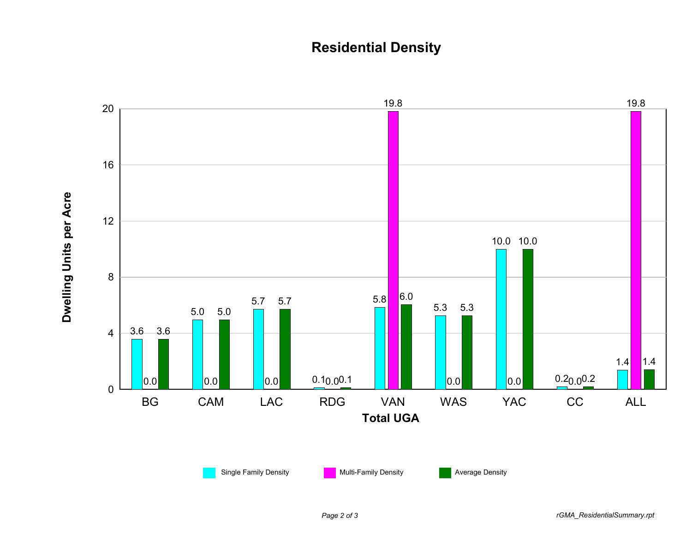## **Residential Density**